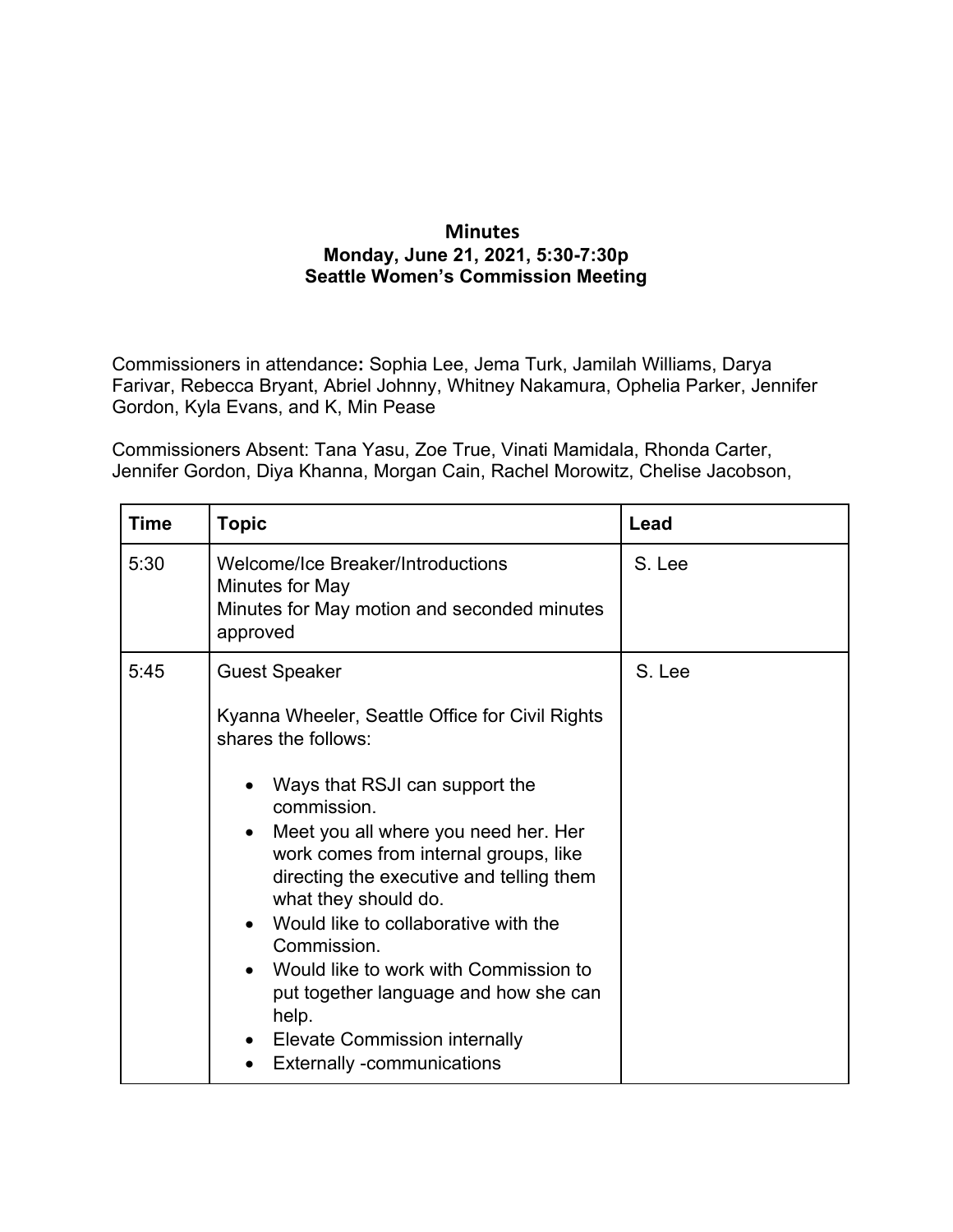## **Minutes Monday, June 21, 2021, 5:30-7:30p Seattle Women's Commission Meeting**

Commissioners in attendance**:** Sophia Lee, Jema Turk, Jamilah Williams, Darya Farivar, Rebecca Bryant, Abriel Johnny, Whitney Nakamura, Ophelia Parker, Jennifer Gordon, Kyla Evans, and K, Min Pease

Commissioners Absent: Tana Yasu, Zoe True, Vinati Mamidala, Rhonda Carter, Jennifer Gordon, Diya Khanna, Morgan Cain, Rachel Morowitz, Chelise Jacobson,

| <b>Time</b> | <b>Topic</b>                                                                                                                                                                                                                                                                                                                                                                                                                                                                                                                                                                                    | Lead   |
|-------------|-------------------------------------------------------------------------------------------------------------------------------------------------------------------------------------------------------------------------------------------------------------------------------------------------------------------------------------------------------------------------------------------------------------------------------------------------------------------------------------------------------------------------------------------------------------------------------------------------|--------|
| 5:30        | <b>Welcome/Ice Breaker/Introductions</b><br>Minutes for May<br>Minutes for May motion and seconded minutes<br>approved                                                                                                                                                                                                                                                                                                                                                                                                                                                                          | S. Lee |
| 5:45        | <b>Guest Speaker</b><br>Kyanna Wheeler, Seattle Office for Civil Rights<br>shares the follows:<br>Ways that RSJI can support the<br>$\bullet$<br>commission.<br>Meet you all where you need her. Her<br>$\bullet$<br>work comes from internal groups, like<br>directing the executive and telling them<br>what they should do.<br>Would like to collaborative with the<br>$\bullet$<br>Commission.<br>Would like to work with Commission to<br>$\bullet$<br>put together language and how she can<br>help.<br>• Elevate Commission internally<br><b>Externally -communications</b><br>$\bullet$ | S. Lee |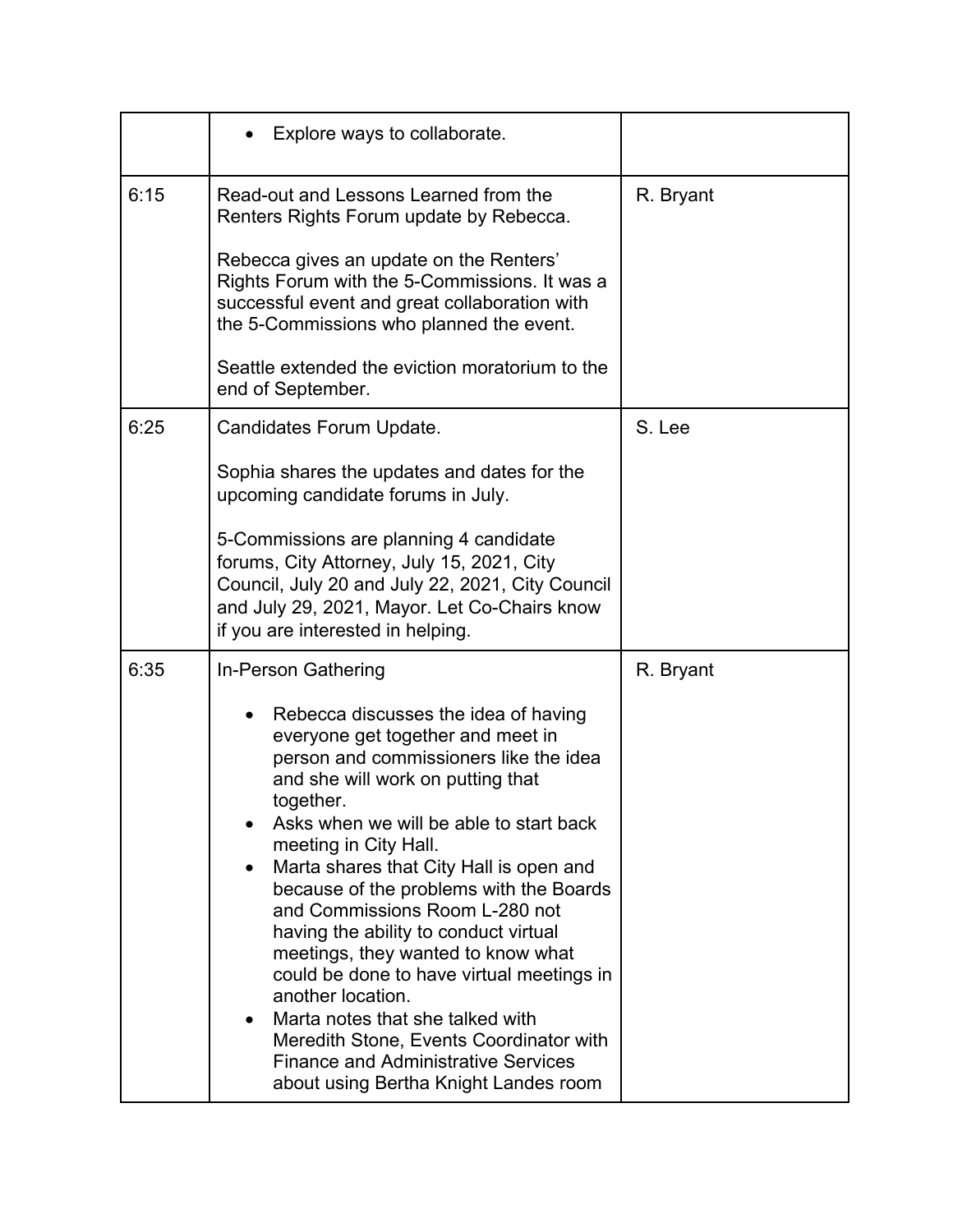|      | Explore ways to collaborate.                                                                                                                                                                                                                                                                                                                                                                                                                                                                                                                                                                                                                                                                                    |           |
|------|-----------------------------------------------------------------------------------------------------------------------------------------------------------------------------------------------------------------------------------------------------------------------------------------------------------------------------------------------------------------------------------------------------------------------------------------------------------------------------------------------------------------------------------------------------------------------------------------------------------------------------------------------------------------------------------------------------------------|-----------|
| 6:15 | Read-out and Lessons Learned from the<br>Renters Rights Forum update by Rebecca.<br>Rebecca gives an update on the Renters'<br>Rights Forum with the 5-Commissions. It was a<br>successful event and great collaboration with<br>the 5-Commissions who planned the event.<br>Seattle extended the eviction moratorium to the<br>end of September.                                                                                                                                                                                                                                                                                                                                                               | R. Bryant |
| 6:25 | Candidates Forum Update.<br>Sophia shares the updates and dates for the<br>upcoming candidate forums in July.<br>5-Commissions are planning 4 candidate<br>forums, City Attorney, July 15, 2021, City<br>Council, July 20 and July 22, 2021, City Council<br>and July 29, 2021, Mayor. Let Co-Chairs know<br>if you are interested in helping.                                                                                                                                                                                                                                                                                                                                                                  | S. Lee    |
| 6:35 | In-Person Gathering<br>Rebecca discusses the idea of having<br>everyone get together and meet in<br>person and commissioners like the idea<br>and she will work on putting that<br>together.<br>Asks when we will be able to start back<br>meeting in City Hall.<br>Marta shares that City Hall is open and<br>because of the problems with the Boards<br>and Commissions Room L-280 not<br>having the ability to conduct virtual<br>meetings, they wanted to know what<br>could be done to have virtual meetings in<br>another location.<br>Marta notes that she talked with<br>Meredith Stone, Events Coordinator with<br><b>Finance and Administrative Services</b><br>about using Bertha Knight Landes room | R. Bryant |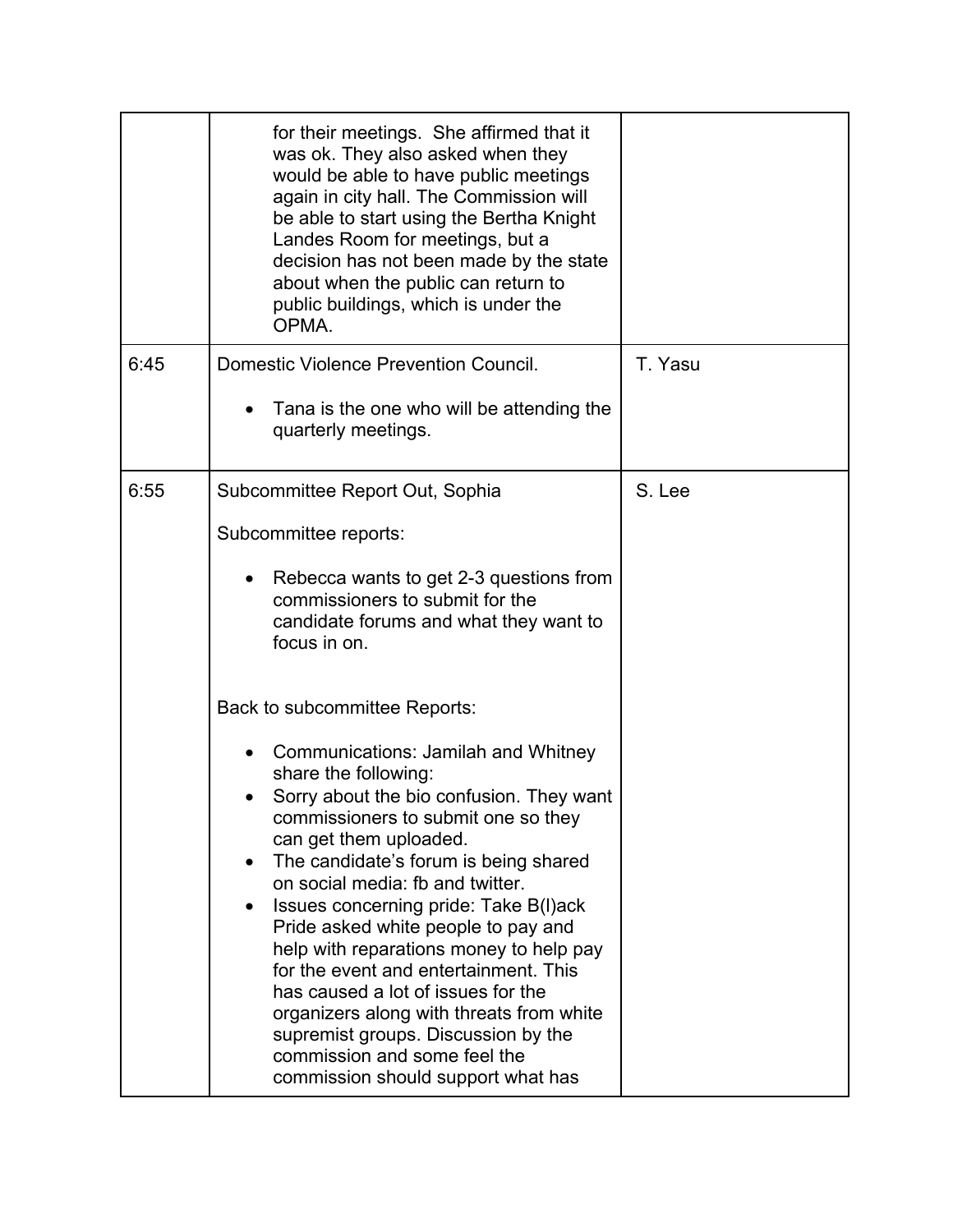|      | for their meetings. She affirmed that it<br>was ok. They also asked when they<br>would be able to have public meetings<br>again in city hall. The Commission will<br>be able to start using the Bertha Knight<br>Landes Room for meetings, but a<br>decision has not been made by the state<br>about when the public can return to<br>public buildings, which is under the<br>OPMA.                                                                                                                                                                                                                                             |         |
|------|---------------------------------------------------------------------------------------------------------------------------------------------------------------------------------------------------------------------------------------------------------------------------------------------------------------------------------------------------------------------------------------------------------------------------------------------------------------------------------------------------------------------------------------------------------------------------------------------------------------------------------|---------|
| 6:45 | Domestic Violence Prevention Council.                                                                                                                                                                                                                                                                                                                                                                                                                                                                                                                                                                                           | T. Yasu |
|      | Tana is the one who will be attending the<br>quarterly meetings.                                                                                                                                                                                                                                                                                                                                                                                                                                                                                                                                                                |         |
| 6:55 | Subcommittee Report Out, Sophia                                                                                                                                                                                                                                                                                                                                                                                                                                                                                                                                                                                                 | S. Lee  |
|      | Subcommittee reports:                                                                                                                                                                                                                                                                                                                                                                                                                                                                                                                                                                                                           |         |
|      | Rebecca wants to get 2-3 questions from<br>$\bullet$<br>commissioners to submit for the<br>candidate forums and what they want to<br>focus in on.                                                                                                                                                                                                                                                                                                                                                                                                                                                                               |         |
|      | Back to subcommittee Reports:                                                                                                                                                                                                                                                                                                                                                                                                                                                                                                                                                                                                   |         |
|      | <b>Communications: Jamilah and Whitney</b><br>share the following:<br>Sorry about the bio confusion. They want<br>commissioners to submit one so they<br>can get them uploaded.<br>The candidate's forum is being shared<br>on social media: fb and twitter.<br>Issues concerning pride: Take B(I)ack<br>Pride asked white people to pay and<br>help with reparations money to help pay<br>for the event and entertainment. This<br>has caused a lot of issues for the<br>organizers along with threats from white<br>supremist groups. Discussion by the<br>commission and some feel the<br>commission should support what has |         |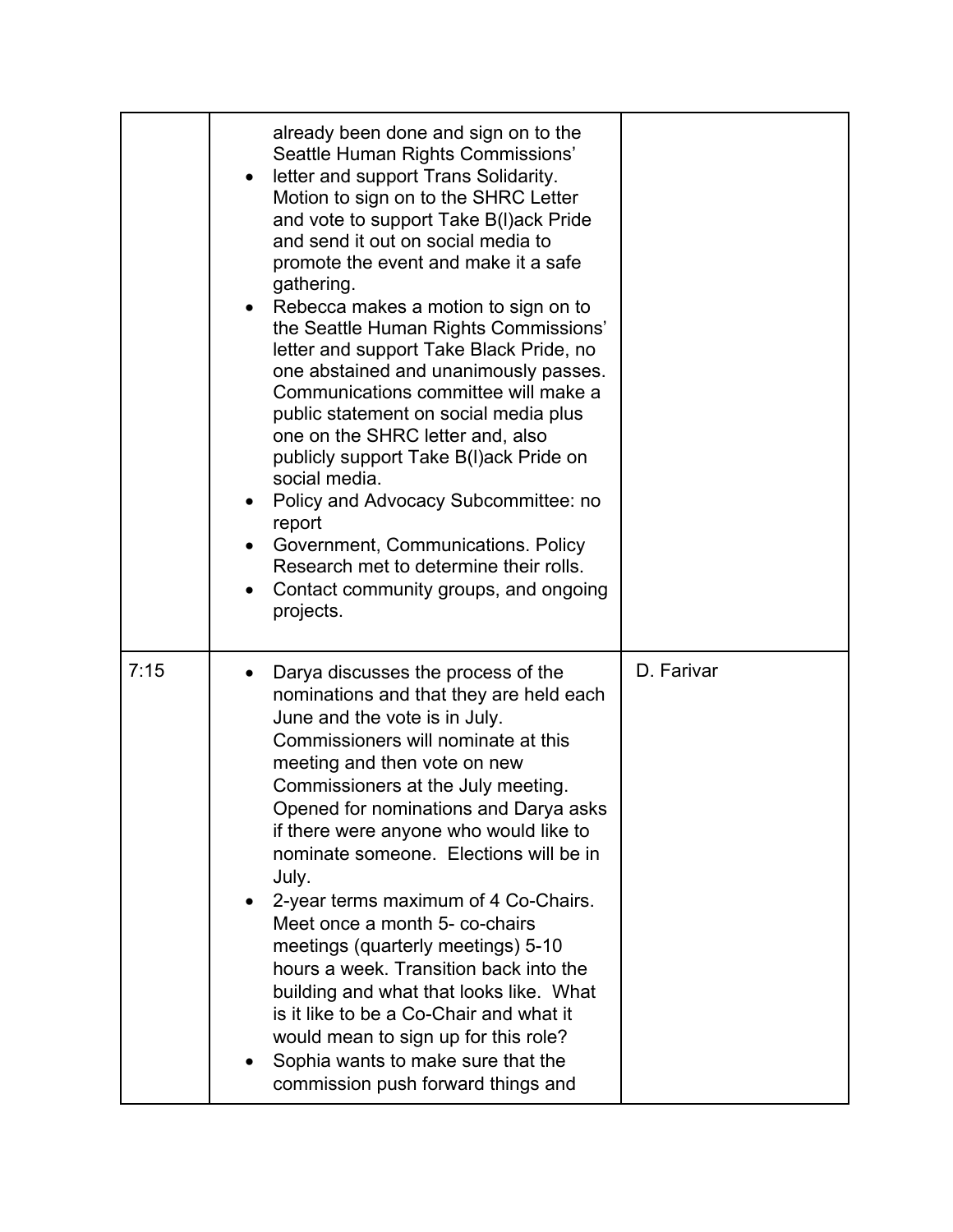|      | already been done and sign on to the<br>Seattle Human Rights Commissions'<br>letter and support Trans Solidarity.<br>Motion to sign on to the SHRC Letter<br>and vote to support Take B(I)ack Pride<br>and send it out on social media to<br>promote the event and make it a safe<br>gathering.<br>Rebecca makes a motion to sign on to<br>the Seattle Human Rights Commissions'<br>letter and support Take Black Pride, no<br>one abstained and unanimously passes.<br>Communications committee will make a<br>public statement on social media plus<br>one on the SHRC letter and, also<br>publicly support Take B(I)ack Pride on<br>social media.<br>Policy and Advocacy Subcommittee: no<br>report<br>Government, Communications. Policy<br>Research met to determine their rolls.<br>Contact community groups, and ongoing<br>projects. |            |
|------|----------------------------------------------------------------------------------------------------------------------------------------------------------------------------------------------------------------------------------------------------------------------------------------------------------------------------------------------------------------------------------------------------------------------------------------------------------------------------------------------------------------------------------------------------------------------------------------------------------------------------------------------------------------------------------------------------------------------------------------------------------------------------------------------------------------------------------------------|------------|
| 7:15 | Darya discusses the process of the<br>nominations and that they are held each<br>June and the vote is in July.<br>Commissioners will nominate at this<br>meeting and then vote on new<br>Commissioners at the July meeting.<br>Opened for nominations and Darya asks<br>if there were anyone who would like to<br>nominate someone. Elections will be in<br>July.<br>2-year terms maximum of 4 Co-Chairs.<br>Meet once a month 5- co-chairs<br>meetings (quarterly meetings) 5-10<br>hours a week. Transition back into the<br>building and what that looks like. What<br>is it like to be a Co-Chair and what it<br>would mean to sign up for this role?<br>Sophia wants to make sure that the<br>commission push forward things and                                                                                                        | D. Farivar |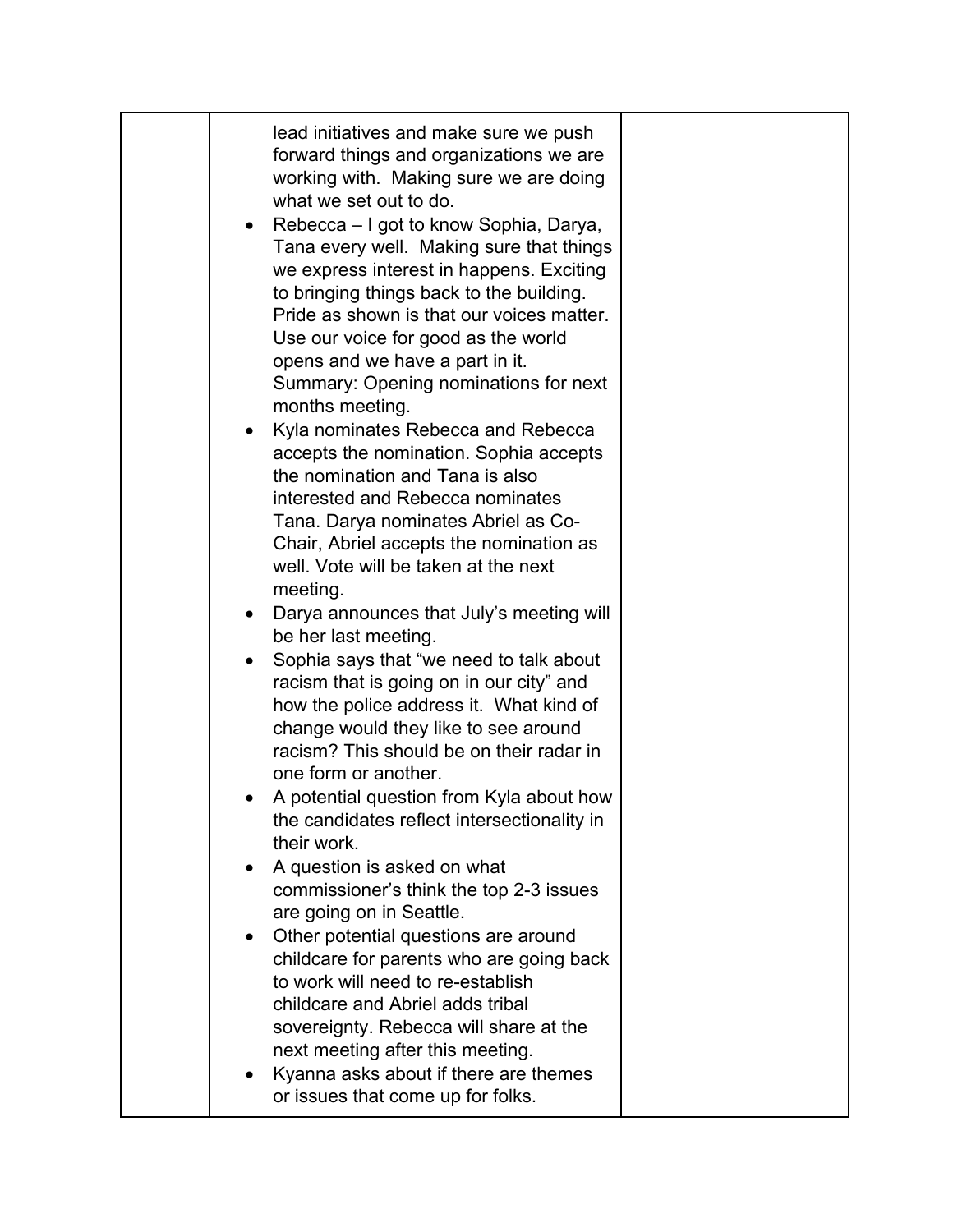| lead initiatives and make sure we push<br>forward things and organizations we are<br>working with. Making sure we are doing<br>what we set out to do.<br>Rebecca – I got to know Sophia, Darya,<br>Tana every well. Making sure that things<br>we express interest in happens. Exciting<br>to bringing things back to the building.<br>Pride as shown is that our voices matter.<br>Use our voice for good as the world<br>opens and we have a part in it.<br>Summary: Opening nominations for next<br>months meeting.<br>Kyla nominates Rebecca and Rebecca<br>accepts the nomination. Sophia accepts<br>the nomination and Tana is also<br>interested and Rebecca nominates<br>Tana. Darya nominates Abriel as Co-<br>Chair, Abriel accepts the nomination as<br>well. Vote will be taken at the next<br>meeting.<br>Darya announces that July's meeting will<br>$\bullet$<br>be her last meeting.<br>Sophia says that "we need to talk about<br>$\bullet$<br>racism that is going on in our city" and<br>how the police address it. What kind of<br>change would they like to see around<br>racism? This should be on their radar in<br>one form or another.<br>A potential question from Kyla about how<br>the candidates reflect intersectionality in<br>their work.<br>A question is asked on what<br>commissioner's think the top 2-3 issues<br>are going on in Seattle.<br>Other potential questions are around<br>childcare for parents who are going back<br>to work will need to re-establish<br>childcare and Abriel adds tribal<br>sovereignty. Rebecca will share at the<br>next meeting after this meeting. |  |
|----------------------------------------------------------------------------------------------------------------------------------------------------------------------------------------------------------------------------------------------------------------------------------------------------------------------------------------------------------------------------------------------------------------------------------------------------------------------------------------------------------------------------------------------------------------------------------------------------------------------------------------------------------------------------------------------------------------------------------------------------------------------------------------------------------------------------------------------------------------------------------------------------------------------------------------------------------------------------------------------------------------------------------------------------------------------------------------------------------------------------------------------------------------------------------------------------------------------------------------------------------------------------------------------------------------------------------------------------------------------------------------------------------------------------------------------------------------------------------------------------------------------------------------------------------------------------------------------------------------------------|--|
| Kyanna asks about if there are themes<br>or issues that come up for folks.                                                                                                                                                                                                                                                                                                                                                                                                                                                                                                                                                                                                                                                                                                                                                                                                                                                                                                                                                                                                                                                                                                                                                                                                                                                                                                                                                                                                                                                                                                                                                 |  |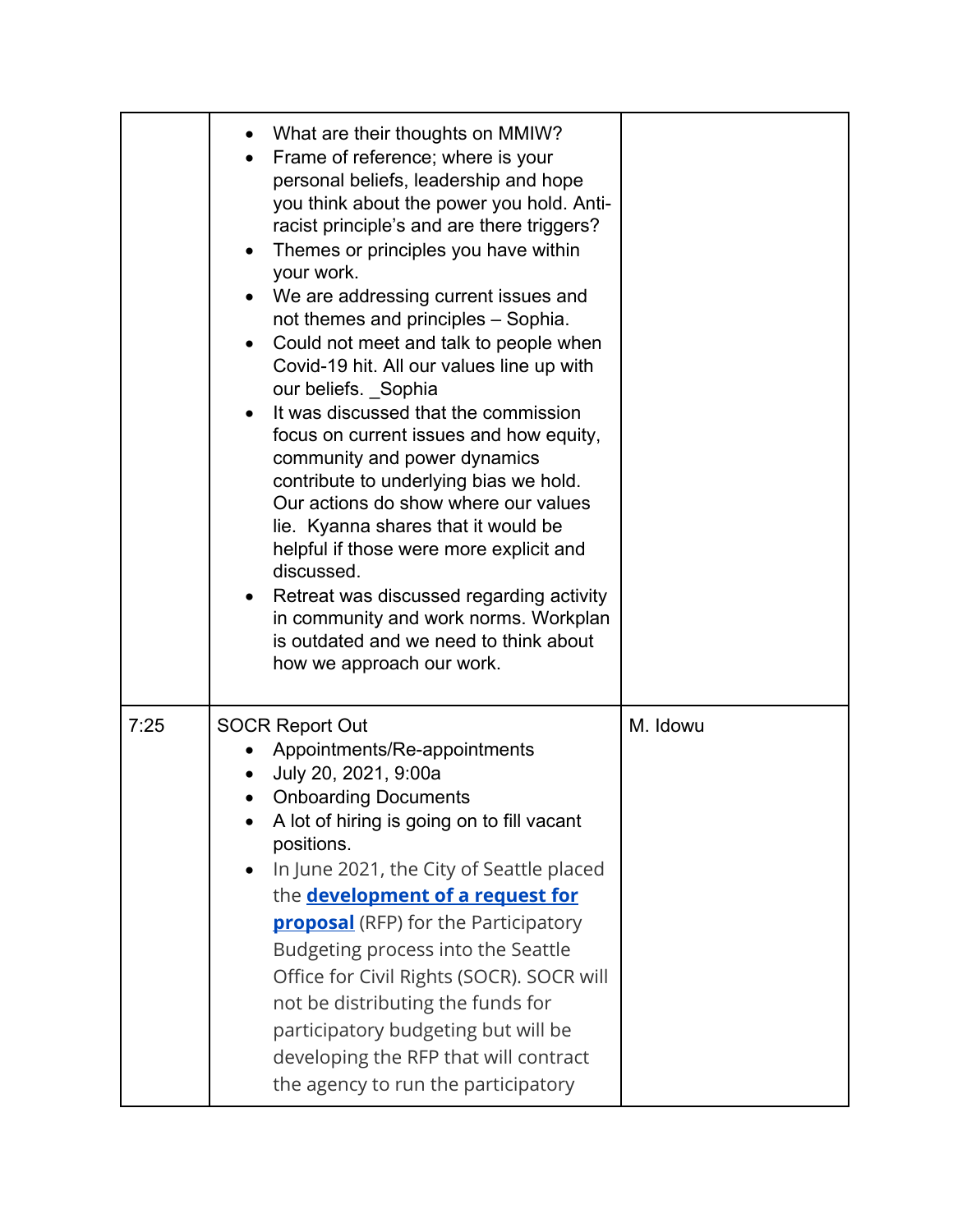|      | What are their thoughts on MMIW?<br>Frame of reference; where is your<br>personal beliefs, leadership and hope<br>you think about the power you hold. Anti-<br>racist principle's and are there triggers?<br>Themes or principles you have within<br>your work.<br>We are addressing current issues and<br>not themes and principles - Sophia.<br>Could not meet and talk to people when<br>Covid-19 hit. All our values line up with<br>our beliefs. Sophia<br>It was discussed that the commission<br>focus on current issues and how equity,<br>community and power dynamics<br>contribute to underlying bias we hold.<br>Our actions do show where our values<br>lie. Kyanna shares that it would be<br>helpful if those were more explicit and<br>discussed.<br>Retreat was discussed regarding activity<br>in community and work norms. Workplan<br>is outdated and we need to think about<br>how we approach our work. |          |
|------|-------------------------------------------------------------------------------------------------------------------------------------------------------------------------------------------------------------------------------------------------------------------------------------------------------------------------------------------------------------------------------------------------------------------------------------------------------------------------------------------------------------------------------------------------------------------------------------------------------------------------------------------------------------------------------------------------------------------------------------------------------------------------------------------------------------------------------------------------------------------------------------------------------------------------------|----------|
| 7:25 | <b>SOCR Report Out</b><br>Appointments/Re-appointments<br>July 20, 2021, 9:00a<br><b>Onboarding Documents</b><br>A lot of hiring is going on to fill vacant<br>positions.<br>In June 2021, the City of Seattle placed<br>the <b>development of a request for</b><br><b>proposal</b> (RFP) for the Participatory<br>Budgeting process into the Seattle<br>Office for Civil Rights (SOCR). SOCR will<br>not be distributing the funds for<br>participatory budgeting but will be<br>developing the RFP that will contract<br>the agency to run the participatory                                                                                                                                                                                                                                                                                                                                                                | M. Idowu |